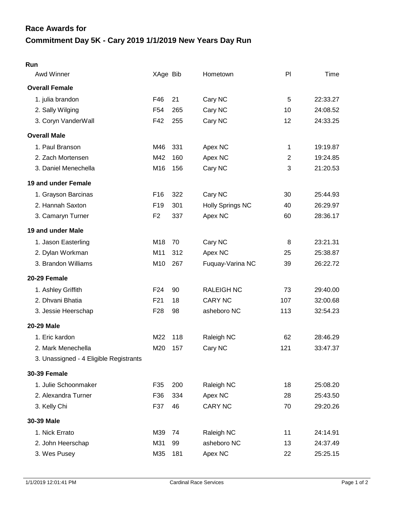## **Commitment Day 5K - Cary 2019 1/1/2019 New Years Day Run Race Awards for**

| × |
|---|

| Awd Winner                             | XAge Bib        |     | Hometown                | PI             | Time     |
|----------------------------------------|-----------------|-----|-------------------------|----------------|----------|
| <b>Overall Female</b>                  |                 |     |                         |                |          |
| 1. julia brandon                       | F46             | 21  | Cary NC                 | 5              | 22:33.27 |
| 2. Sally Wilging                       | F <sub>54</sub> | 265 | Cary NC                 | 10             | 24:08.52 |
| 3. Coryn VanderWall                    | F42             | 255 | Cary NC                 | 12             | 24:33.25 |
| <b>Overall Male</b>                    |                 |     |                         |                |          |
| 1. Paul Branson                        | M46             | 331 | Apex NC                 | 1              | 19:19.87 |
| 2. Zach Mortensen                      | M42             | 160 | Apex NC                 | $\overline{2}$ | 19:24.85 |
| 3. Daniel Menechella                   | M16             | 156 | Cary NC                 | 3              | 21:20.53 |
| 19 and under Female                    |                 |     |                         |                |          |
| 1. Grayson Barcinas                    | F <sub>16</sub> | 322 | Cary NC                 | 30             | 25:44.93 |
| 2. Hannah Saxton                       | F <sub>19</sub> | 301 | <b>Holly Springs NC</b> | 40             | 26:29.97 |
| 3. Camaryn Turner                      | F <sub>2</sub>  | 337 | Apex NC                 | 60             | 28:36.17 |
| 19 and under Male                      |                 |     |                         |                |          |
| 1. Jason Easterling                    | M18             | 70  | Cary NC                 | 8              | 23:21.31 |
| 2. Dylan Workman                       | M11             | 312 | Apex NC                 | 25             | 25:38.87 |
| 3. Brandon Williams                    | M10             | 267 | Fuquay-Varina NC        | 39             | 26:22.72 |
| 20-29 Female                           |                 |     |                         |                |          |
| 1. Ashley Griffith                     | F <sub>24</sub> | 90  | <b>RALEIGH NC</b>       | 73             | 29:40.00 |
| 2. Dhvani Bhatia                       | F <sub>21</sub> | 18  | <b>CARY NC</b>          | 107            | 32:00.68 |
| 3. Jessie Heerschap                    | F <sub>28</sub> | 98  | asheboro NC             | 113            | 32:54.23 |
| 20-29 Male                             |                 |     |                         |                |          |
| 1. Eric kardon                         | M22             | 118 | Raleigh NC              | 62             | 28:46.29 |
| 2. Mark Menechella                     | M20             | 157 | Cary NC                 | 121            | 33:47.37 |
| 3. Unassigned - 4 Eligible Registrants |                 |     |                         |                |          |
| <b>30-39 Female</b>                    |                 |     |                         |                |          |
| 1. Julie Schoonmaker                   | F35             | 200 | Raleigh NC              | 18             | 25:08.20 |
| 2. Alexandra Turner                    | F36             | 334 | Apex NC                 | 28             | 25:43.50 |
| 3. Kelly Chi                           | F37             | 46  | <b>CARY NC</b>          | 70             | 29:20.26 |
| 30-39 Male                             |                 |     |                         |                |          |
| 1. Nick Errato                         | M39             | 74  | Raleigh NC              | 11             | 24:14.91 |
| 2. John Heerschap                      | M31             | 99  | asheboro NC             | 13             | 24:37.49 |
| 3. Wes Pusey                           | M35             | 181 | Apex NC                 | 22             | 25:25.15 |